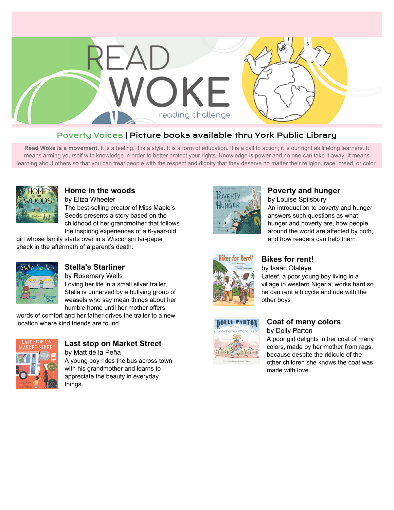

## Poverty Voices | Picture books available thru York Public Library

Read Woke is a movement. It is a feeling. It is a style. It is a form of education. It is a call to action; it is our right as lifelong learners. It means arming yourself with knowledge in order to better protect your rights. Knowledge is power and no one can take it away. It means learning about others so that you can treat people with the respect and dignity that they deserve no matter their religion, race, creed, or color.



### **[Home in the woods](https://libraryaware.com/29Q8VC)**

by Eliza Wheeler The best-selling creator of Miss Maple's Seeds presents a story based on the childhood of her grandmother that follows the inspiring experiences of a 6-year-old

girl whose family starts over in a Wisconsin tar-paper shack in the aftermath of a parent's death.



### **[Stella's Starliner](https://libraryaware.com/29Q8VD)**

by Rosemary Wells Loving her life in a small silver trailer, Stella is unnerved by a bullying group of weasels who say mean things about her humble home until her mother offers

words of comfort and her father drives the trailer to a new location where kind friends are found.



## **[Last stop on Market Street](https://libraryaware.com/29Q8VE)**

by Matt de la Peña A young boy rides the bus across town with his grandmother and learns to appreciate the beauty in everyday things.



### **[Poverty and hunger](https://libraryaware.com/29Q8VF)**

by Louise Spilsbury An introduction to poverty and hunger answers such questions as what hunger and poverty are, how people around the world are affected by both, and how readers can help them



# **[Bikes for rent!](https://libraryaware.com/29Q8VG)**

by Isaac Olaleye

Lateef, a poor young boy living in a village in western Nigeria, works hard so he can rent a bicycle and ride with the other boys



## **[Coat of many colors](https://libraryaware.com/29Q8VH)**

by Dolly Parton

A poor girl delights in her coat of many colors, made by her mother from rags, because despite the ridicule of the other children she knows the coat was made with love